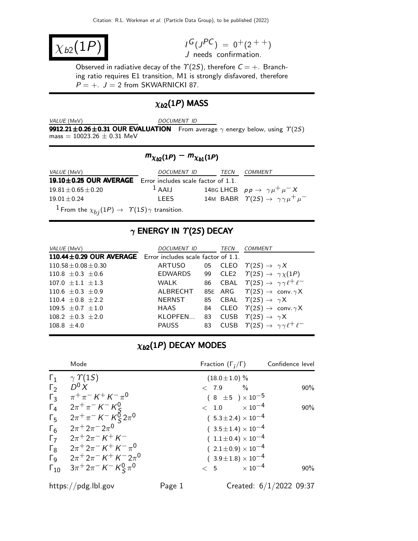$\chi_{b2}(1F)$ 

 $I^G(J^{PC}) = 0^+(2^{++})$ J needs confirmation.

Observed in radiative decay of the  $\Upsilon(2S)$ , therefore  $C = +$ . Branching ratio requires E1 transition, M1 is strongly disfavored, therefore  $P = +$ .  $J = 2$  from SKWARNICKI 87.

# $\chi_{b2}(1P)$  MASS

VALUE (MeV) DOCUMENT ID

**9912.21±0.26±0.31 OUR EVALUATION** From average  $\gamma$  energy below, using  $\Upsilon(2S)$  $mass = 10023.26 \pm 0.31$  MeV

# $m_{\chi_{b2}(1P)} - m_{\chi_{b1}(1P)}$

| <i>VALUE</i> (MeV)                                                             | DOCUMENT ID | TECN | <b>COMMENT</b>                                                |
|--------------------------------------------------------------------------------|-------------|------|---------------------------------------------------------------|
| 19.10±0.25 OUR AVERAGE Error includes scale factor of 1.1.                     |             |      |                                                               |
| $19.81 \pm 0.65 \pm 0.20$                                                      | $1$ AAIJ    |      | 14BG LHCB $pp \rightarrow \gamma \mu^+ \mu^- X$               |
| $19.01 + 0.24$                                                                 | LEES.       |      | 14M BABR $\Upsilon(2S) \rightarrow \gamma \gamma \mu^+ \mu^-$ |
| <sup>1</sup> From the $\chi_{bi}(1P) \rightarrow \gamma(1S)\gamma$ transition. |             |      |                                                               |

# $\gamma$  ENERGY IN  $\Upsilon(2S)$  DECAY

| VALUE (MeV)                | <i>DOCUMENT ID</i>                  |    | TECN    | COMMENT                                                        |
|----------------------------|-------------------------------------|----|---------|----------------------------------------------------------------|
| 110.44±0.29 OUR AVERAGE    | Error includes scale factor of 1.1. |    |         |                                                                |
| $110.58 \pm 0.08 \pm 0.30$ | ARTUSO                              |    | 05 CLEO | $\varUpsilon(2S) \rightarrow \gamma X$                         |
| 110.8 $\pm$ 0.3 $\pm$ 0.6  | <b>EDWARDS</b>                      |    | 99 CLE2 | $\Upsilon(2S) \rightarrow \gamma \chi(1P)$                     |
| $107.0 + 1.1 + 1.3$        | <b>WALK</b>                         | 86 |         | CBAL $\Upsilon(2S) \rightarrow \gamma \gamma \ell^+ \ell^-$    |
| 110.6 $\pm$ 0.3 $\pm$ 0.9  | ALBRECHT                            |    |         | 85E ARG $\Upsilon(2S) \rightarrow \text{conv. } \gamma \times$ |
| 110.4 $\pm$ 0.8 $\pm$ 2.2  | <b>NERNST</b>                       |    |         | 85 CBAL $\Upsilon(2S) \rightarrow \gamma X$                    |
| 109.5 $\pm$ 0.7 $\pm$ 1.0  | HAAS                                | 84 | CLEO    | $\varUpsilon(2S) \to \text{ conv. } \gamma \mathsf{X}$         |
| 108.2 $\pm$ 0.3 $\pm$ 2.0  | KLOPFEN                             |    |         | 83 CUSB $\Upsilon(2S) \rightarrow \gamma X$                    |
| $108.8 + 4.0$              | <b>PAUSS</b>                        | 83 |         | CUSB $\Upsilon(2S) \rightarrow \gamma \gamma \ell^+ \ell^-$    |

## $\chi_{b2}(1P)$  DECAY MODES

|                       | Mode                                                         | Fraction $(\Gamma_i/\Gamma)$   | Confidence level |
|-----------------------|--------------------------------------------------------------|--------------------------------|------------------|
| $\Gamma_1$            | $\gamma \Upsilon(15)$                                        | $(18.0 \pm 1.0)$ %             |                  |
| $\Gamma_2$            | $D^0 X$                                                      | $\%$<br>< 7.9                  | $90\%$           |
| $\Gamma_3$            | $\pi^{+}\pi^{-} K^{+} K^{-}\pi^{0}$                          | $(8 \pm 5) \times 10^{-5}$     |                  |
| $\Gamma_4$            | $2\pi^{+}\pi^{-}$ K <sup>-</sup> K <sup>0</sup> <sub>S</sub> | $< 1.0 \times 10^{-4}$         | 90%              |
| $\Gamma_5$            | $2\pi^+\pi^-$ K $^-$ K $^0_\texttt{S}$ $2\pi^0$              | $(5.3 \pm 2.4) \times 10^{-4}$ |                  |
| $\Gamma_6$            | $2\pi + 2\pi - 2\pi^0$                                       | $(3.5 \pm 1.4) \times 10^{-4}$ |                  |
| $\Gamma$              | $2\pi^+ 2\pi^- K^+ K^-$                                      | $(1.1 \pm 0.4) \times 10^{-4}$ |                  |
| $\Gamma_8$            | $2\pi^+ 2\pi^- K^+ K^- \pi^0$                                | $(2.1 \pm 0.9) \times 10^{-4}$ |                  |
| $\Gamma_{\mathsf{Q}}$ | $2\pi + 2\pi - K + K - 2\pi$ <sup>0</sup>                    | $(3.9 \pm 1.8) \times 10^{-4}$ |                  |
| $\Gamma_{10}$         | $3\pi^+ 2\pi^-$ K $^-$ K $^0$ $\pi^0$                        | $< 5$ $\times 10^{-4}$         | $90\%$           |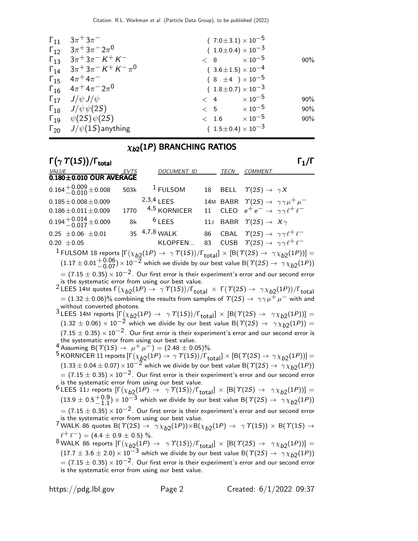| $\Gamma_{11}$ $3\pi^+3\pi^-$                                                                               | $(7.0 \pm 3.1) \times 10^{-5}$ |        |
|------------------------------------------------------------------------------------------------------------|--------------------------------|--------|
| $\Gamma_{12}$ $3\pi$ <sup>+</sup> $3\pi$ <sup>-</sup> $2\pi$ <sup>0</sup>                                  | $(1.0 \pm 0.4) \times 10^{-3}$ |        |
| $\Gamma_{13}$ $3\pi$ <sup>+</sup> $3\pi$ <sup>-</sup> $K$ <sup>+</sup> $K$ <sup>-</sup>                    | $< 8$ $\times 10^{-5}$         | $90\%$ |
| $\Gamma_{14}$ $3\pi$ <sup>+</sup> $3\pi$ <sup>-</sup> $K$ <sup>+</sup> $K$ <sup>-</sup> $\pi$ <sup>0</sup> | $(3.6 \pm 1.5) \times 10^{-4}$ |        |
| $\Gamma_{15}$ $4\pi^{+}4\pi^{-}$                                                                           | $(8 \pm 4) \times 10^{-5}$     |        |
| $\Gamma_{16}$ $4\pi$ <sup>+</sup> $4\pi$ <sup>-</sup> $2\pi$ <sup>0</sup>                                  | $(1.8 \pm 0.7) \times 10^{-3}$ |        |
| $\Gamma_{17}$ $J/\psi J/\psi$                                                                              | $< 4 \times 10^{-5}$           | 90%    |
| $\Gamma_{18}$ $J/\psi \psi(2S)$                                                                            | $< 5$ $\times 10^{-5}$         | 90%    |
| $\Gamma_{19}$ $\psi(2S)\psi(2S)$                                                                           | $< 1.6 \times 10^{-5}$         | 90%    |
| $\Gamma_{20}$ $J/\psi(1S)$ anything                                                                        | $(1.5 \pm 0.4) \times 10^{-3}$ |        |

## $\chi_{b2}(1P)$  BRANCHING RATIOS

| $\Gamma(\gamma \Upsilon(15))/\Gamma_{\text{total}}$ |      |                    |    |             |                                                                                                                           | $\mathsf{\Gamma}_1/\mathsf{\Gamma}$ |
|-----------------------------------------------------|------|--------------------|----|-------------|---------------------------------------------------------------------------------------------------------------------------|-------------------------------------|
| VALUE                                               | EVTS | <b>DOCUMENT ID</b> |    | <b>TECN</b> | COMMENT                                                                                                                   |                                     |
| $0.180 \pm 0.010$ OUR AVERAGE                       |      |                    |    |             |                                                                                                                           |                                     |
| $0.164 + 0.009 + 0.008$                             | 503k | $1$ FULSOM         |    |             | 18 BELL $\Upsilon(2S) \rightarrow \gamma X$                                                                               |                                     |
| $0.185 \pm 0.008 \pm 0.009$                         |      | $2,3,4$   FFS      |    |             | 14M BABR $\Upsilon(2S) \rightarrow \gamma \gamma \mu^+ \mu^-$<br>11 CLEO $e^+e^- \rightarrow \gamma \gamma \ell^+ \ell^-$ |                                     |
| $0.186 \pm 0.011 \pm 0.009$                         | 1770 | 4,5 KORNICER       |    |             |                                                                                                                           |                                     |
| $0.194 + 0.014 + 0.009$                             | 8k   | $6$ LEES           |    |             | 11J BABR $\Upsilon(2S) \rightarrow X\gamma$                                                                               |                                     |
| $0.25 \pm 0.06 \pm 0.01$                            |      | 35 4,7,8 WALK      | 86 |             | CBAL $\Upsilon(2S) \rightarrow \gamma \gamma \ell^+ \ell^-$                                                               |                                     |
| $0.20 \pm 0.05$                                     |      | KLOPFEN            |    |             | 83 CUSB $\Upsilon(2S) \rightarrow \gamma \gamma \ell^+ \ell^-$                                                            |                                     |

<sup>1</sup> FULSOM 18 reports  $[\Gamma(\chi_{b2}(1P) \to \gamma \Upsilon(1S))/\Gamma_{\text{total}}] \times [B(\Upsilon(2S) \to \gamma \chi_{b2}(1P))] =$  $(1.17 \pm 0.01 + 0.06) \times 10^{-2}$  which we divide by our best value B( $\Upsilon(2S) \rightarrow \gamma \chi_{b2}(1P)$ )  $= (7.15 \pm 0.35) \times 10^{-2}$ . Our first error is their experiment's error and our second error

is the systematic error from using our best value.

 $^2$ LEES 14M quotes Γ $(\chi_{b2}(1P) \to \gamma \varUpsilon(1S))/\Gamma_{\text{total}} ~ \times ~ \Gamma(\varUpsilon(2S) \to ~ \gamma \chi_{b2}(1P))/\Gamma_{\text{total}}$  $= (1.32 \pm 0.06)\%$  combining the results from samples of  $\varUpsilon(2S) \to\ \gamma \gamma \mu^+ \mu^-$  with and without converted photons.

<sup>3</sup>LEES 14M reports  $[\Gamma(\chi_{b2}(1P) \to \gamma \Upsilon(1S))/\Gamma_{\text{total}}] \times [B(\Upsilon(2S) \to \gamma \chi_{b2}(1P))] =$  $(1.32 \pm 0.06) \times 10^{-2}$  which we divide by our best value B( $\Upsilon(25) \rightarrow \gamma \chi_{b2}(1P)$ ) =  $(7.15 \pm 0.35) \times 10^{-2}$ . Our first error is their experiment's error and our second error is the systematic error from using our best value.

4 Assuming B( $T(1S) \to \mu^+ \mu^-$ ) = (2.48 ± 0.05)%.

 $^5$  KORNICER 11 reports  $[\Gamma(\chi_{b2}^{'}(1P) \to \gamma \varUpsilon(1S))/\Gamma_{\rm total}]\times[{\cal B}(\varUpsilon(2S) \to \gamma \chi_{b2}^{}(1P))] =$  $(1.33 \pm 0.04 \pm 0.07) \times 10^{-2}$  which we divide by our best value B( $\tau(25) \rightarrow \gamma \chi_{b2}(1P)$ )  $= (7.15 \pm 0.35) \times 10^{-2}$ . Our first error is their experiment's error and our second error is the systematic error from using our best value.

<sup>6</sup>LEES 11J reports  $[\Gamma(\chi_{b2}(1P) \rightarrow \gamma \Upsilon(1S))/\Gamma_{\text{total}}] \times [B(\Upsilon(2S) \rightarrow \gamma \chi_{b2}(1P))] =$  $(13.9 \pm 0.5^{+0.9}_{-1.1}) \times 10^{-3}$  which we divide by our best value B( $\Upsilon(25) \rightarrow \gamma \chi_{b2}(1P)$ )  $= (7.15 \pm 0.35) \times 10^{-2}$ . Our first error is their experiment's error and our second error is the systematic error from using our best value.

 $7$  WALK 86 quotes B( $\textit{T}(2S) \rightarrow \gamma \chi_{b2}(1P)) \times B(\chi_{b2}(1P) \rightarrow \gamma \textit{T}(1S)) \times B(\textit{T}(1S) \rightarrow \gamma \textit{S}(1P))$  $\ell^+ \ell^-$ ) = (4.4  $\pm$  0.9  $\pm$  0.5) %.

 $^8$ WALK 86 reports  $[\Gamma(\chi_{b2} (1P) \to \gamma \varUpsilon(1S))/\Gamma_{\rm total}]\times[{\cal B}(\varUpsilon(2S) \to \gamma \chi_{b2}(1P))] =$  $(17.7 \pm 3.6 \pm 2.0) \times 10^{-3}$  which we divide by our best value B( $\Upsilon(2S) \rightarrow \gamma \chi_{b2}(1P)$ )  $=$  (7.15  $\pm$  0.35)  $\times$  10 $^{-2}$ . Our first error is their experiment's error and our second error is the systematic error from using our best value.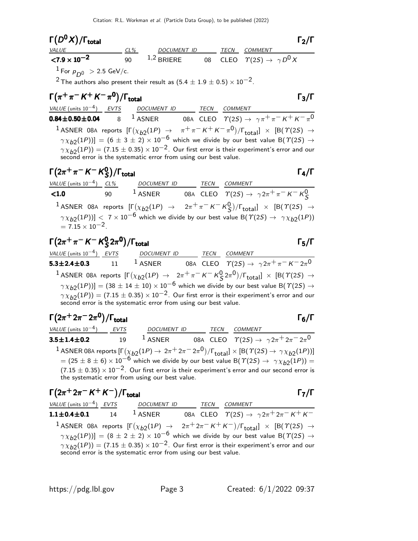| $\Gamma(D^{\mathbf{0}}X)/\Gamma_{\mathbf{total}}$ |        |              |      |                                                 | $\Gamma_2/\Gamma$ |
|---------------------------------------------------|--------|--------------|------|-------------------------------------------------|-------------------|
| <i>VALUE</i>                                      | $CL\%$ | DOCUMENT ID  | TECN | COMMENT                                         |                   |
| $<$ 7.9 $\times$ 10 <sup>-2</sup>                 | 90     | $1,2$ BRIERE |      | 08 CLEO $\Upsilon(2S) \rightarrow \gamma D^0 X$ |                   |
| $^{-1}$ For $p_{D^0}$ $>$ 2.5 GeV/c.              |        |              |      |                                                 |                   |

2 The authors also present their result as  $(5.4 \pm 1.9 \pm 0.5) \times 10^{-2}$ .

## $\Gamma(\pi^+\pi^- K^+ K^-\pi^0)/\Gamma_{\rm total}$  Γ<sub>3</sub>/Γ  $\Gamma_3/\Gamma$ VALUE (units 10<sup>-4</sup>) EVTS DOCUMENT ID TECN COMMENT  $0.84\pm0.50\pm0.04$   $8$   $^1$  ASNER 08A CLEO  $\varUpsilon(2S)\rightarrow\ \gamma\pi^{+}\pi^{-}\,K^{+}\,K^{-}\,\pi^{0}$ 1 ASNER 08A reports  $[\Gamma(\chi_{b2}(1P) \rightarrow \pi^+\pi^- K^+ K^-\pi^0)/\Gamma_{\text{total}}] \times [B(\Upsilon(2S) \rightarrow$  $(\gamma \chi_{b2}(1P))] = (6 \pm 3 \pm 2) \times 10^{-6}$  which we divide by our best value B( $\gamma(2S) \rightarrow$  $\gamma \chi_{b2}(1P)$ ) = (7.15  $\pm$  0.35) × 10<sup>-2</sup>. Our first error is their experiment's error and our second error is the systematic error from using our best value.

$$
\begin{array}{ll}\n\Gamma(2\pi^+\pi^-K^-K^0_S)/\Gamma_{\text{total}} & \Gamma_4/\Gamma \\
\hline\n\frac{VALUE \text{ (units 10}^{-4})}{4.0} & \frac{CL\%}{90} & \frac{DOC \text{ UMENT ID}}{1 \text{ ASNER}} & \frac{CECN}{08A} & \frac{COMMENT}{CLEO} \\
\hline\n\text{1 ASNER} & 08A & \text{ CLEO} & \frac{COMMENT}{1} & \times \left[ F(\chi_{b2}(1P) \rightarrow 2\pi^+\pi^-K^-K^0_S)/F_{\text{total}} \right] \times \left[ B(\Upsilon(2S) \rightarrow \Upsilon_4)(1P) \right] \\
\hline\n\text{1 ASNER} & 08A \text{ reports } \left[ F(\chi_{b2}(1P) \rightarrow 2\pi^+\pi^-K^-K^0_S)/F_{\text{total}} \right] \times \left[ B(\Upsilon(2S) \rightarrow \Upsilon_4)(1P) \right] \\
\hline\n= 7.15 \times 10^{-2}.\n\end{array}
$$

$$
\Gamma(2\pi^+\pi^-K^-K^0_S 2\pi^0)/\Gamma_{\text{total}}
$$

VALUE (units 10<sup>-4</sup>) EVTS DOCUMENT ID TECN COMMENT 5.3 $\pm$ 2.4 $\pm$ 0.3 11 <sup>1</sup> Asner 08A cleo  $\varUpsilon(2S) \to \gamma 2\pi^+ \pi^- \,$ K $^ 2\pi^0$  $1$  ASNER 08A reports  $[\Gamma(\chi_{b2}(1P) \rightarrow 2\pi^+\pi^- K^- K^0_S 2\pi^0)/\Gamma_{\text{total}}] \times [B(\Upsilon(2S) \rightarrow$  $(\gamma \chi_{b2}(1P))] = (38 \pm 14 \pm 10) \times 10^{-6}$  which we divide by our best value B( $\gamma(2S) \rightarrow$  $\gamma \chi_{b2}(1P)$ ) = (7.15  $\pm$  0.35)  $\times$  10<sup>-2</sup>. Our first error is their experiment's error and our second error is the systematic error from using our best value.

| $\Gamma(2\pi^+ 2\pi^- 2\pi^0)/\Gamma_{\rm total}$  |    |                                                                                                                                                                                                                                                                                                                                                                                                                                                        |  |         | $\Gamma_6/\Gamma$ |
|----------------------------------------------------|----|--------------------------------------------------------------------------------------------------------------------------------------------------------------------------------------------------------------------------------------------------------------------------------------------------------------------------------------------------------------------------------------------------------------------------------------------------------|--|---------|-------------------|
| VALUE (units $10^{-4}$ ) EVTS                      |    | DOCUMENT ID TECN                                                                                                                                                                                                                                                                                                                                                                                                                                       |  | COMMENT |                   |
| $3.5 \pm 1.4 \pm 0.2$                              | 19 | <sup>1</sup> ASNER 08A CLEO $\Upsilon(2S) \rightarrow \gamma 2\pi^+ 2\pi^- 2\pi^0$                                                                                                                                                                                                                                                                                                                                                                     |  |         |                   |
|                                                    |    | <sup>1</sup> ASNER 08A reports $[\Gamma(\chi_{b2}(1P) \to 2\pi^+ 2\pi^- 2\pi^0)/\Gamma_{\text{total}}] \times [B(\Upsilon(2S) \to \gamma \chi_{b2}(1P))]$<br>$= (25 \pm 8 \pm 6) \times 10^{-6}$ which we divide by our best value B( $\Upsilon(25) \rightarrow \gamma \chi_{b2}(1P)$ ) =<br>$(7.15 \pm 0.35) \times 10^{-2}$ . Our first error is their experiment's error and our second error is<br>the systematic error from using our best value. |  |         |                   |
| $\Gamma(2\pi^+ 2\pi^- K^+ K^-)/\Gamma_{\rm total}$ |    |                                                                                                                                                                                                                                                                                                                                                                                                                                                        |  |         |                   |

| VALUE (units $10^{-4}$ ) EVTS | DOCUMENT ID TECN COMMENT                                        |  |                                                                                                                                                     |
|-------------------------------|-----------------------------------------------------------------|--|-----------------------------------------------------------------------------------------------------------------------------------------------------|
| $1.1 \pm 0.4 \pm 0.1$ 14      | $^1$ ASNER                                                      |  | 08A CLEO $\Upsilon(2S) \rightarrow \gamma 2\pi^+ 2\pi^- K^+ K^-$                                                                                    |
|                               |                                                                 |  | <sup>1</sup> ASNER 08A reports $[\Gamma(\chi_{b2}(1P) \rightarrow 2\pi^+ 2\pi^- K^+ K^-)/\Gamma_{\text{total}}] \times [B(\Upsilon(2S) \rightarrow$ |
|                               |                                                                 |  | $\gamma \chi_{b2}(1P)$ ] = $(8 \pm 2 \pm 2) \times 10^{-6}$ which we divide by our best value B( $\gamma$ (2S) $\rightarrow$                        |
|                               | second error is the systematic error from using our best value. |  | $\gamma \chi_{b2}(1P)$ = (7.15 $\pm$ 0.35) $\times$ 10 <sup>-2</sup> . Our first error is their experiment's error and our                          |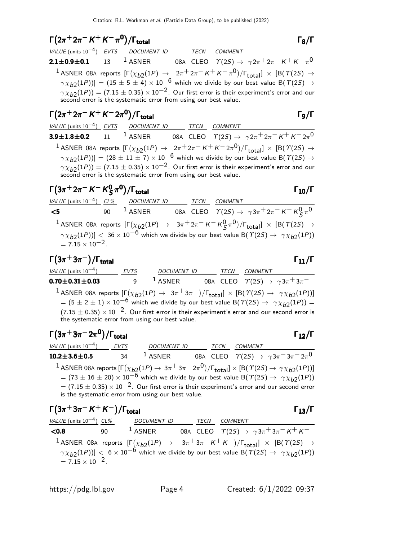# $\Gamma(2\pi^+ 2\pi^- K^+ K^- \pi^0)/\Gamma_{\text{total}}$  Γ<sub>8</sub>/Γ

|  | VALUE (units $10^{-4}$ ) EVTS DOCUMENT ID TECN COMMENT |  |                                                                                                                                                                                            |
|--|--------------------------------------------------------|--|--------------------------------------------------------------------------------------------------------------------------------------------------------------------------------------------|
|  |                                                        |  |                                                                                                                                                                                            |
|  |                                                        |  | <sup>1</sup> ASNER 08A reports $[\Gamma(\chi_{b2}(1P) \rightarrow 2\pi^+ 2\pi^- K^+ K^- \pi^0)/\Gamma_{\text{total}}] \times [B(T(2S) \rightarrow$                                         |
|  |                                                        |  | $\gamma \chi_{b2}(1P)$ ] = (15 ± 5 ± 4) × 10 <sup>-6</sup> which we divide by our best value B( $\gamma$ (2S) $\rightarrow$                                                                |
|  |                                                        |  | $\gamma \chi_{b2}(1P)$ = (7.15 $\pm$ 0.35) $\times$ 10 <sup>-2</sup> . Our first error is their experiment's error and our second error is the systematic error from using our best value. |
|  |                                                        |  |                                                                                                                                                                                            |

$$
\Gamma(2\pi^+ 2\pi^- K^+ K^- 2\pi^0)/\Gamma_{\text{total}}
$$

 $VALU E$  (units 10<sup>-4</sup>) EVTS DOCUMENT ID TECN COMMENT 3.9 $\pm$ 1.8 $\pm$ 0.2 11  $^{-1}$  ASNER 08A CLEO  $\varUpsilon(2S) \to \ \gamma 2\pi^+ 2\pi^- K^+ K^- 2\pi^0$  $1$  ASNER 08A reports  $[\Gamma(\chi_{b2}(1P) \to 2\pi^+ 2\pi^- K^+ K^- 2\pi^0)/\Gamma_{\rm total}]\times [B(\Upsilon(2S) \to$  $(\gamma \chi_{b2}(1P))] = (28 \pm 11 \pm 7) \times 10^{-6}$  which we divide by our best value B( $\gamma$ (25)  $\rightarrow$  $\gamma \chi_{b2}(1P)$ ) = (7.15  $\pm$  0.35)  $\times$  10<sup>-2</sup>. Our first error is their experiment's error and our second error is the systematic error from using our best value.

### $\Gamma(3\pi^+ 2\pi^- K^- K^0_S)$  $\Gamma(3\pi^+ 2\pi^- K^- K^0_S \pi^0)/\Gamma_{\text{total}}$  Γ<sub>10</sub>/Γ )/Γ<sub>total</sub> $Γ_{10}/Γ$

VALUE (units 10<sup>-4</sup>) CL% DOCUMENT ID TECN COMMENT  $5$  90 <sup>1</sup> ASNER 08A CLEO  $\Upsilon(2S)$  →  $\gamma 3\pi^+ 2\pi^- K^- K^0_S \pi^0$  $^1$ ASNER 08A reports  $[\Gamma(\chi_{b2}(1P) \rightarrow 3\pi^+ 2\pi^- K^- K^0_S \pi^0)/\Gamma_{\rm total}]\times [B(\Upsilon(2S) \rightarrow$ S  $\left(\gamma \chi_{b2}(1P)\right)$  <  $36 \times 10^{-6}$  which we divide by our best value B( $\gamma(2S) \rightarrow \gamma \chi_{b2}(1P)$ )  $= 7.15 \times 10^{-2}$ .

### $\Gamma(3\pi^+3\pi^-)/\Gamma_{\rm total}$  Γ<sub>11</sub>/Γ )/Γ<sub>total</sub> Γ<sub>11</sub>/Γ

| VALUE (units $10^{-4}$ )                        | EVTS | <b>DOCUMENT ID</b> | TECN | <i>COMMENT</i>                                                                                                                                    |
|-------------------------------------------------|------|--------------------|------|---------------------------------------------------------------------------------------------------------------------------------------------------|
| $0.70 \pm 0.31 \pm 0.03$                        | a    | $1$ ASNER          |      | 08A CLEO $\Upsilon(2S) \rightarrow \gamma 3\pi^+ 3\pi^-$                                                                                          |
|                                                 |      |                    |      | <sup>1</sup> ASNER 08A reports $[\Gamma(\chi_{b2}(1P) \to 3\pi^+3\pi^-)/\Gamma_{\text{total}}] \times [B(\Upsilon(2S) \to \gamma \chi_{b2}(1P))]$ |
|                                                 |      |                    |      | $= (5 \pm 2 \pm 1) \times 10^{-6}$ which we divide by our best value B( $\Upsilon(2S) \rightarrow \gamma \chi_{b2}(1P)$ ) =                       |
| the systematic error from using our best value. |      |                    |      | $(7.15 \pm 0.35) \times 10^{-2}$ . Our first error is their experiment's error and our second error is                                            |

### $\Gamma(3\pi^+3\pi^-2\pi^0)/\Gamma_{\rm total}$  Γ<sub>12</sub>/Γ /Γ $_{\rm total}$ Γ $_{12}/$ Γ

VALUE (units  $10^{-4}$ ) EVTS DOCUMENT ID TECN COMMENT  ${\bf 10.2 \pm 3.6 \pm 0.5}$  34  $^{\text{1}}$  ASNER 08A CLEO  $\varUpsilon(2S) \rightarrow \ \gamma \, 3 \pi^{\text{+}} \, 3 \pi^{\text{+}} \, 2 \pi^{\text{0}}$  $^1$  ASNER 08A reports  $[\Gamma(\chi_{b2}(1P) \to 3\pi^+ 3\pi^- 2\pi^0)/\Gamma_{\rm total}]\times [{\rm B}(\Upsilon(2S) \to \gamma \chi_{b2}(1P))]$  $= (73 \pm 16 \pm 20) \times 10^{-6}$  which we divide by our best value B( $\Upsilon(25) \rightarrow \gamma \chi_{b2}(1P)$ )  $=$  (7.15  $\pm$  0.35)  $\times$  10 $^{-2}$ . Our first error is their experiment's error and our second error is the systematic error from using our best value.

Γ 3π <sup>+</sup> 3π <sup>−</sup> K + K − 3π+3π−+<sup>−</sup> <sup>+</sup> <sup>−</sup> K <sup>+</sup> KΓ/Γtotal Γ13/Γ <sup>+</sup>−+/Γtotal <sup>Γ</sup>13/Γ Γ /Γtotal Γ13/Γ Γ /Γtotal Γ13/Γ VALUE (units 10−4) CL% DOCUMENT ID TECN COMMENT <sup>&</sup>lt;0.<sup>8</sup> <sup>90</sup> <sup>1</sup> ASNER 08<sup>A</sup> CLEO <sup>Υ</sup>(2S) <sup>→</sup> <sup>γ</sup> <sup>3</sup>π<sup>+</sup> <sup>3</sup>π<sup>−</sup> <sup>K</sup><sup>+</sup> <sup>K</sup><sup>−</sup> 1 ASNER 08<sup>A</sup> reports [Γ χb2 (1P) <sup>→</sup> <sup>3</sup>π<sup>+</sup> <sup>3</sup>π<sup>−</sup> <sup>K</sup><sup>+</sup> <sup>K</sup><sup>−</sup> /Γtotal] <sup>×</sup> [B(Υ(2S) <sup>→</sup> γ χb2 (1P))] <sup>&</sup>lt; <sup>6</sup> <sup>×</sup> <sup>10</sup>−<sup>6</sup> which we divide by our best value B(Υ(2S) <sup>→</sup> γ χb<sup>2</sup> (1P)) = 7.<sup>15</sup> <sup>×</sup> <sup>10</sup>−2.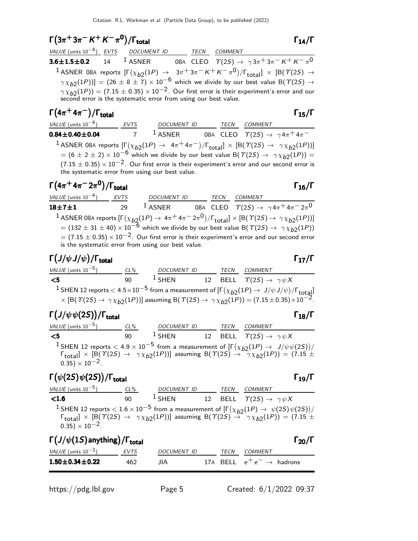$$
\Gamma(3\pi^+3\pi^- K^+ K^- \pi^0)/\Gamma_{\text{total}}
$$

VALUE (units 10<sup>-4</sup>) EVTS DOCUMENT ID TECN COMMENT 3.6 $\pm$ 1.5 $\pm$ 0.2 14  $^1$  Asner 08a cleo  $\varUpsilon(2S) \to \gamma 3 \pi^+ 3 \pi^- K^+ K^- \pi^0$ 1 ASNER 08A reports  $[\Gamma(\chi_{b2}(1P) \rightarrow 3\pi + 3\pi - K + K - \pi^0)/\Gamma_{\text{total}}] \times [B(\Upsilon(2S) \rightarrow$  $(\gamma \chi_{b2}(1P))] = (26 \pm 8 \pm 7) \times 10^{-6}$  which we divide by our best value B( $\gamma$ (2S)  $\rightarrow$  $\gamma \chi_{b2}(1P)$ ) = (7.15  $\pm$  0.35)  $\times$  10<sup>-2</sup>. Our first error is their experiment's error and our second error is the systematic error from using our best value.

| $\Gamma(4\pi^+4\pi^-)/\Gamma_{\rm total}$                                                                                                                                                                                                                                         |             |                    |  |      | $\Gamma_{15}/\Gamma$                                                                                   |  |  |
|-----------------------------------------------------------------------------------------------------------------------------------------------------------------------------------------------------------------------------------------------------------------------------------|-------------|--------------------|--|------|--------------------------------------------------------------------------------------------------------|--|--|
| $VALUE$ (units $10^{-4}$ )                                                                                                                                                                                                                                                        | <b>EVTS</b> | <b>DOCUMENT ID</b> |  | TECN | <b>COMMENT</b>                                                                                         |  |  |
| $0.84 \pm 0.40 \pm 0.04$                                                                                                                                                                                                                                                          |             | $1$ ASNER          |  |      | 08A CLEO $\Upsilon(2S) \rightarrow \gamma 4\pi^+ 4\pi^-$                                               |  |  |
| <sup>1</sup> ASNER 08A reports $[\Gamma(\chi_{b2}(1P) \to 4\pi^+ 4\pi^-)/\Gamma_{\text{total}}] \times [B(\Upsilon(2S) \to \gamma \chi_{b2}(1P))]$<br>$= (6 \pm 2 \pm 2) \times 10^{-6}$ which we divide by our best value B( $\Upsilon(25) \rightarrow \gamma \chi_{b2}(1P)$ ) = |             |                    |  |      |                                                                                                        |  |  |
|                                                                                                                                                                                                                                                                                   |             |                    |  |      |                                                                                                        |  |  |
| the systematic error from using our best value.                                                                                                                                                                                                                                   |             |                    |  |      | $(7.15 \pm 0.35) \times 10^{-2}$ . Our first error is their experiment's error and our second error is |  |  |

| $\Gamma(4\pi^{+}4\pi^{-}2\pi^{0})/\Gamma_{\text{total}}$                                                                                                  |             |                                                                                                                                                                                                                                                                                                           |      |                | $\Gamma_{16}/\Gamma$                                            |
|-----------------------------------------------------------------------------------------------------------------------------------------------------------|-------------|-----------------------------------------------------------------------------------------------------------------------------------------------------------------------------------------------------------------------------------------------------------------------------------------------------------|------|----------------|-----------------------------------------------------------------|
| VALUE (units $10^{-4}$ )                                                                                                                                  | <b>EVTS</b> | <b>DOCUMENT ID</b>                                                                                                                                                                                                                                                                                        | TECN | <b>COMMENT</b> |                                                                 |
| $18 + 7 + 1$                                                                                                                                              | 29          | $1$ ASNER                                                                                                                                                                                                                                                                                                 |      |                | 08A CLEO $\Upsilon(2S) \rightarrow \gamma 4\pi^+ 4\pi^- 2\pi^0$ |
| <sup>1</sup> ASNER 08A reports $[\Gamma(\chi_{b2}(1P) \to 4\pi^+ 4\pi^- 2\pi^0)/\Gamma_{\text{total}}] \times [B(\Upsilon(2S) \to \gamma \chi_{b2}(1P))]$ |             | $= (132 \pm 31 \pm 40) \times 10^{-6}$ which we divide by our best value B( $\Upsilon(25) \rightarrow \gamma \chi_{b2}(1P)$ )<br>$=$ (7.15 $\pm$ 0.35) $\times$ 10 <sup>-2</sup> . Our first error is their experiment's error and our second error<br>is the systematic error from using our best value. |      |                |                                                                 |

# Γ $(J/\psi J/\psi)/\Gamma_{\rm total}$

| VALUE (units $10^{-5}$ ) | $CL\%$ | <b>DOCUMENT ID</b> | TECN | <b>COMMENT</b>                                                                                                                                                                                                                                                                                     |
|--------------------------|--------|--------------------|------|----------------------------------------------------------------------------------------------------------------------------------------------------------------------------------------------------------------------------------------------------------------------------------------------------|
| $\leq$ 5                 | 90.    | $1$ SHEN           |      | 12 BELL $\Upsilon(2S) \rightarrow \gamma \psi X$                                                                                                                                                                                                                                                   |
|                          |        |                    |      | <sup>1</sup> SHEN 12 reports < $4.5 \times 10^{-5}$ from a measurement of $[\Gamma(\chi_{b2}(1P) \to J/\psi J/\psi)/\Gamma_{\text{total}}] \times [\text{B}(\Upsilon(2S) \to \gamma \chi_{b2}(1P))]$ assuming $\text{B}(\Upsilon(2S) \to \gamma \chi_{b2}(1P)) = (7.15 \pm 0.35) \times 10^{-2}$ . |
|                          |        |                    |      |                                                                                                                                                                                                                                                                                                    |

# Γ $(J/\psi \psi(2S))$ /Γ<sub>total</sub> Γ<sub>18</sub>/Γ

| VALUE (units $10^{-5}$ ) | CL% | <b>DOCUMENT ID</b> | <b>TECN</b> | COMMENT                                                                                                                                                                                                                                                          |
|--------------------------|-----|--------------------|-------------|------------------------------------------------------------------------------------------------------------------------------------------------------------------------------------------------------------------------------------------------------------------|
| − <5                     | 90  | $1$ SHEN           |             | 12 BELL $\Upsilon(2S) \rightarrow \gamma \psi X$                                                                                                                                                                                                                 |
| $0.35 \times 10^{-2}$ .  |     |                    |             | <sup>1</sup> SHEN 12 reports < 4.9 × 10 <sup>-5</sup> from a measurement of $[\Gamma(\chi_{b2}(1P) \to J/\psi \psi(2S))/\Gamma_{\text{total}}]$ × [B( $\Upsilon(2S) \to \gamma \chi_{b2}(1P)$ )] assuming B( $\Upsilon(2S) \to \gamma \chi_{b2}(1P)$ ) = (7.15 ± |

### Γ $(\psi(2S)\psi(2S))$ /Γ<sub>total</sub> Γ<sub>19</sub>/Γ total

| VALUE (units $10^{-5}$ ) | CL% | <b>DOCUMENT ID</b> | TECN | COMMENT                                                                                                                                                                                                                                                                   |  |
|--------------------------|-----|--------------------|------|---------------------------------------------------------------------------------------------------------------------------------------------------------------------------------------------------------------------------------------------------------------------------|--|
| < 1.6                    | 90  | $1$ SHEN           |      | 12 BELL $\Upsilon(2S) \rightarrow \gamma \psi X$                                                                                                                                                                                                                          |  |
|                          |     |                    |      | <sup>1</sup> SHEN 12 reports < $1.6 \times 10^{-5}$ from a measurement of $[\Gamma(\chi_{b2}(1P) \to \psi(2S)\psi(2S))/\Gamma_{\text{total}}] \times [B(\Upsilon(2S) \to \gamma \chi_{b2}(1P))]$ assuming $B(\Upsilon(2S) \to \gamma \chi_{b2}(1P)) = (7.15 \pm 10^{-5})$ |  |
|                          |     |                    |      |                                                                                                                                                                                                                                                                           |  |
| $0.35) \times 10^{-2}$ . |     |                    |      |                                                                                                                                                                                                                                                                           |  |

| $\Gamma\left(\frac{J}{\psi(1S)}\right)$ anything) / $\Gamma$ <sub>total</sub> |      |             |  |      |                                       |  |
|-------------------------------------------------------------------------------|------|-------------|--|------|---------------------------------------|--|
| <i>VALUE</i> (units $10^{-3}$ )                                               | EVTS | DOCUMENT ID |  | TECN | <i>COMMENT</i>                        |  |
| $1.50 \pm 0.34 \pm 0.22$                                                      | 462  | JIA         |  |      | 17A BELL $e^+e^- \rightarrow$ hadrons |  |

 $\Gamma_{17}/\Gamma$ 

total and  $14/1$